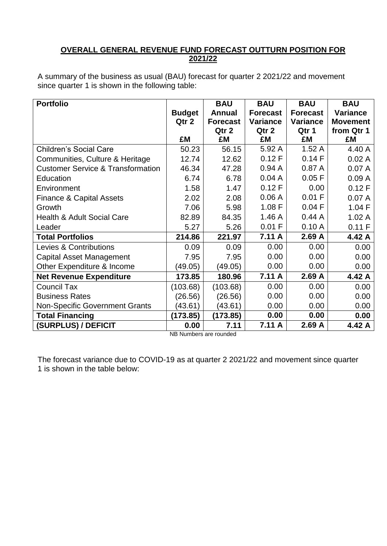### **OVERALL GENERAL REVENUE FUND FORECAST OUTTURN POSITION FOR 2021/22**

A summary of the business as usual (BAU) forecast for quarter 2 2021/22 and movement since quarter 1 is shown in the following table:

| <b>Portfolio</b>                             |               | <b>BAU</b>      | <b>BAU</b>      | <b>BAU</b>      | <b>BAU</b>      |
|----------------------------------------------|---------------|-----------------|-----------------|-----------------|-----------------|
|                                              | <b>Budget</b> | <b>Annual</b>   | <b>Forecast</b> | <b>Forecast</b> | <b>Variance</b> |
|                                              | Qtr 2         | <b>Forecast</b> | <b>Variance</b> | <b>Variance</b> | <b>Movement</b> |
|                                              |               | Qtr 2           | Qtr 2           | Qtr 1           | from Qtr 1      |
|                                              | £M            | £M              | £M              | £M              | £M              |
| <b>Children's Social Care</b>                | 50.23         | 56.15           | 5.92 A          | 1.52A           | 4.40 A          |
| Communities, Culture & Heritage              | 12.74         | 12.62           | 0.12 F          | 0.14F           | 0.02A           |
| <b>Customer Service &amp; Transformation</b> | 46.34         | 47.28           | 0.94A           | 0.87A           | 0.07A           |
| Education                                    | 6.74          | 6.78            | 0.04A           | 0.05 F          | 0.09A           |
| Environment                                  | 1.58          | 1.47            | 0.12 F          | 0.00            | 0.12 F          |
| Finance & Capital Assets                     | 2.02          | 2.08            | 0.06A           | 0.01 F          | 0.07A           |
| Growth                                       | 7.06          | 5.98            | 1.08 F          | $0.04$ F        | 1.04 F          |
| <b>Health &amp; Adult Social Care</b>        | 82.89         | 84.35           | 1.46A           | 0.44A           | 1.02A           |
| Leader                                       | 5.27          | 5.26            | 0.01 F          | 0.10A           | 0.11 F          |
| <b>Total Portfolios</b>                      | 214.86        | 221.97          | 7.11 A          | 2.69A           | 4.42 A          |
| Levies & Contributions                       | 0.09          | 0.09            | 0.00            | 0.00            | 0.00            |
| <b>Capital Asset Management</b>              | 7.95          | 7.95            | 0.00            | 0.00            | 0.00            |
| Other Expenditure & Income                   | (49.05)       | (49.05)         | 0.00            | 0.00            | 0.00            |
| <b>Net Revenue Expenditure</b>               | 173.85        | 180.96          | 7.11 A          | 2.69A           | 4.42 A          |
| <b>Council Tax</b>                           | (103.68)      | (103.68)        | 0.00            | 0.00            | 0.00            |
| <b>Business Rates</b>                        | (26.56)       | (26.56)         | 0.00            | 0.00            | 0.00            |
| <b>Non-Specific Government Grants</b>        | (43.61)       | (43.61)         | 0.00            | 0.00            | 0.00            |
| <b>Total Financing</b>                       | (173.85)      | (173.85)        | 0.00            | 0.00            | 0.00            |
| (SURPLUS) / DEFICIT                          | 0.00          | 7.11            | 7.11 A          | 2.69A           | 4.42 A          |

NB Numbers are rounded

The forecast variance due to COVID-19 as at quarter 2 2021/22 and movement since quarter 1 is shown in the table below: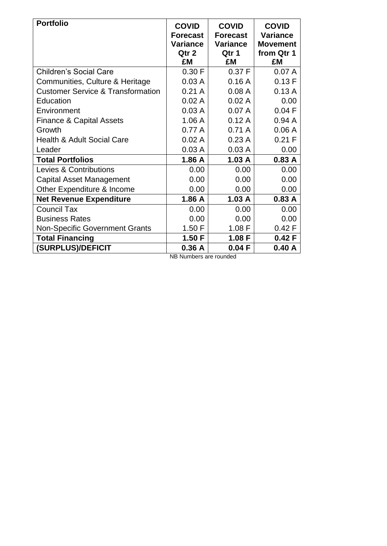| <b>Portfolio</b>                             | <b>COVID</b><br><b>Forecast</b><br><b>Variance</b><br>Qtr 2 | <b>COVID</b><br><b>Forecast</b><br><b>Variance</b><br>Qtr 1 | <b>COVID</b><br><b>Variance</b><br><b>Movement</b> |
|----------------------------------------------|-------------------------------------------------------------|-------------------------------------------------------------|----------------------------------------------------|
|                                              | £M                                                          | £M                                                          | from Qtr 1<br>£M                                   |
| <b>Children's Social Care</b>                | 0.30 F                                                      | 0.37 F                                                      | 0.07A                                              |
| Communities, Culture & Heritage              | 0.03A                                                       | 0.16A                                                       | 0.13F                                              |
| <b>Customer Service &amp; Transformation</b> | 0.21A                                                       | 0.08A                                                       | 0.13A                                              |
| Education                                    | 0.02A                                                       | 0.02A                                                       | 0.00                                               |
| Environment                                  | 0.03A                                                       | 0.07A                                                       | $0.04$ F                                           |
| <b>Finance &amp; Capital Assets</b>          | 1.06A                                                       | 0.12A                                                       | 0.94A                                              |
| Growth                                       | 0.77A                                                       | 0.71A                                                       | 0.06A                                              |
| <b>Health &amp; Adult Social Care</b>        | 0.02A                                                       | 0.23A                                                       | 0.21 F                                             |
| Leader                                       | 0.03A                                                       | 0.03A                                                       | 0.00                                               |
| <b>Total Portfolios</b>                      | 1.86 A                                                      | 1.03A                                                       | 0.83A                                              |
| <b>Levies &amp; Contributions</b>            | 0.00                                                        | 0.00                                                        | 0.00                                               |
| <b>Capital Asset Management</b>              | 0.00                                                        | 0.00                                                        | 0.00                                               |
| Other Expenditure & Income                   | 0.00                                                        | 0.00                                                        | 0.00                                               |
| <b>Net Revenue Expenditure</b>               | 1.86 A                                                      | 1.03A                                                       | 0.83A                                              |
| <b>Council Tax</b>                           | 0.00                                                        | 0.00                                                        | 0.00                                               |
| <b>Business Rates</b>                        | 0.00                                                        | 0.00                                                        | 0.00                                               |
| <b>Non-Specific Government Grants</b>        | 1.50 F                                                      | 1.08 F                                                      | 0.42 F                                             |
| <b>Total Financing</b>                       | 1.50 F                                                      | 1.08 F                                                      | 0.42 F                                             |
| (SURPLUS)/DEFICIT                            | 0.36A                                                       | 0.04F                                                       | 0.40A                                              |

NB Numbers are rounded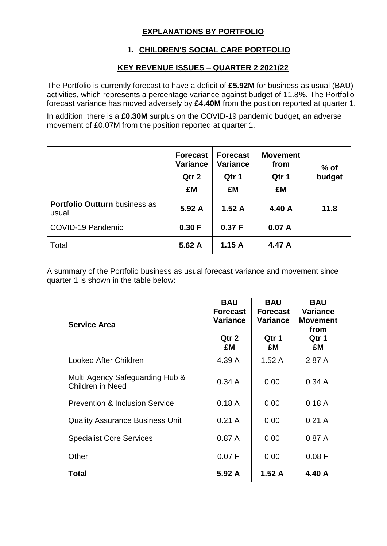# **EXPLANATIONS BY PORTFOLIO**

## **1. CHILDREN'S SOCIAL CARE PORTFOLIO**

### **KEY REVENUE ISSUES – QUARTER 2 2021/22**

The Portfolio is currently forecast to have a deficit of **£5.92M** for business as usual (BAU) activities, which represents a percentage variance against budget of 11.8**%.** The Portfolio forecast variance has moved adversely by **£4.40M** from the position reported at quarter 1.

In addition, there is a **£0.30M** surplus on the COVID-19 pandemic budget, an adverse movement of £0.07M from the position reported at quarter 1.

|                                               | <b>Forecast</b><br><b>Variance</b><br>Qtr 2<br>£M | <b>Forecast</b><br><b>Variance</b><br>Qtr 1<br>£M | <b>Movement</b><br>from<br>Qtr 1<br>£M | $%$ of<br>budget |
|-----------------------------------------------|---------------------------------------------------|---------------------------------------------------|----------------------------------------|------------------|
| <b>Portfolio Outturn business as</b><br>usual | 5.92 A                                            | 1.52A                                             | 4.40 A                                 | 11.8             |
| COVID-19 Pandemic                             | 0.30 F                                            | 0.37 F                                            | 0.07A                                  |                  |
| Total                                         | 5.62 A                                            | 1.15A                                             | 4.47 A                                 |                  |

A summary of the Portfolio business as usual forecast variance and movement since quarter 1 is shown in the table below:

| <b>Service Area</b>                                        | <b>BAU</b><br><b>Forecast</b><br><b>Variance</b><br>Qtr 2<br>£M | <b>BAU</b><br><b>Forecast</b><br>Variance<br>Qtr 1<br>£M | <b>BAU</b><br>Variance<br><b>Movement</b><br>from<br>Qtr 1<br>£M |
|------------------------------------------------------------|-----------------------------------------------------------------|----------------------------------------------------------|------------------------------------------------------------------|
| <b>Looked After Children</b>                               | 4.39 A                                                          | 1.52A                                                    | 2.87A                                                            |
| Multi Agency Safeguarding Hub &<br><b>Children in Need</b> | 0.34A                                                           | 0.00                                                     | 0.34A                                                            |
| <b>Prevention &amp; Inclusion Service</b>                  | 0.18A                                                           | 0.00                                                     | 0.18A                                                            |
| <b>Quality Assurance Business Unit</b>                     | 0.21A                                                           | 0.00                                                     | 0.21A                                                            |
| <b>Specialist Core Services</b>                            | 0.87A                                                           | 0.00                                                     | 0.87A                                                            |
| Other                                                      | 0.07 F                                                          | 0.00                                                     | 0.08 F                                                           |
| Total                                                      | 5.92A                                                           | 1.52A                                                    | 4.40 A                                                           |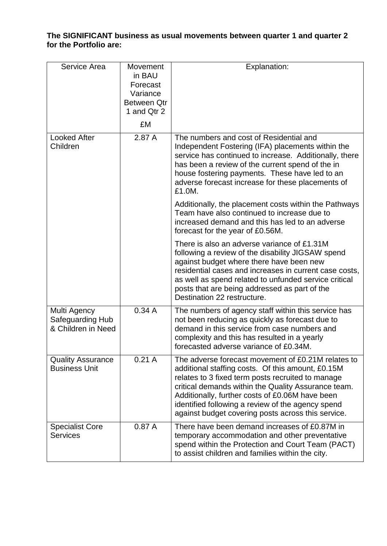### **The SIGNIFICANT business as usual movements between quarter 1 and quarter 2 for the Portfolio are:**

| Service Area                                           | Movement<br>in BAU<br>Forecast<br>Variance<br>Between Qtr<br>1 and Qtr 2<br>£M | Explanation:                                                                                                                                                                                                                                                                                                                                                                      |
|--------------------------------------------------------|--------------------------------------------------------------------------------|-----------------------------------------------------------------------------------------------------------------------------------------------------------------------------------------------------------------------------------------------------------------------------------------------------------------------------------------------------------------------------------|
| <b>Looked After</b><br>Children                        | 2.87 A                                                                         | The numbers and cost of Residential and<br>Independent Fostering (IFA) placements within the<br>service has continued to increase. Additionally, there<br>has been a review of the current spend of the in<br>house fostering payments. These have led to an<br>adverse forecast increase for these placements of<br>£1.0M.                                                       |
|                                                        |                                                                                | Additionally, the placement costs within the Pathways<br>Team have also continued to increase due to<br>increased demand and this has led to an adverse<br>forecast for the year of £0.56M.                                                                                                                                                                                       |
|                                                        |                                                                                | There is also an adverse variance of £1.31M<br>following a review of the disability JIGSAW spend<br>against budget where there have been new<br>residential cases and increases in current case costs,<br>as well as spend related to unfunded service critical<br>posts that are being addressed as part of the<br>Destination 22 restructure.                                   |
| Multi Agency<br>Safeguarding Hub<br>& Children in Need | 0.34A                                                                          | The numbers of agency staff within this service has<br>not been reducing as quickly as forecast due to<br>demand in this service from case numbers and<br>complexity and this has resulted in a yearly<br>forecasted adverse variance of £0.34M.                                                                                                                                  |
| <b>Quality Assurance</b><br><b>Business Unit</b>       | 0.21A                                                                          | The adverse forecast movement of £0.21M relates to<br>additional staffing costs. Of this amount, £0.15M<br>relates to 3 fixed term posts recruited to manage<br>critical demands within the Quality Assurance team.<br>Additionally, further costs of £0.06M have been<br>identified following a review of the agency spend<br>against budget covering posts across this service. |
| <b>Specialist Core</b><br><b>Services</b>              | 0.87A                                                                          | There have been demand increases of £0.87M in<br>temporary accommodation and other preventative<br>spend within the Protection and Court Team (PACT)<br>to assist children and families within the city.                                                                                                                                                                          |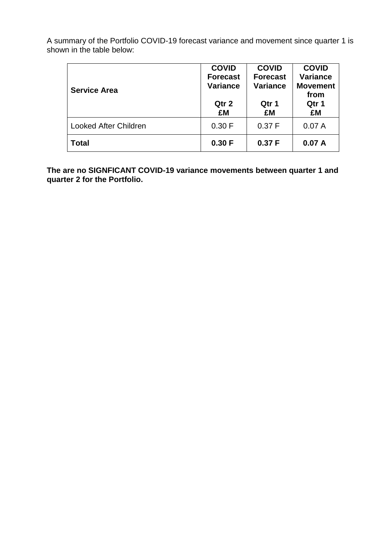| <b>Service Area</b>          | <b>COVID</b><br><b>Forecast</b><br><b>Variance</b><br>Qtr 2<br>£M | <b>COVID</b><br><b>Forecast</b><br><b>Variance</b><br>Qtr 1<br>£M | <b>COVID</b><br><b>Variance</b><br><b>Movement</b><br>from<br>Qtr 1<br>£M |
|------------------------------|-------------------------------------------------------------------|-------------------------------------------------------------------|---------------------------------------------------------------------------|
| <b>Looked After Children</b> | 0.30 F                                                            | 0.37 F                                                            | 0.07A                                                                     |
| <b>Total</b>                 | 0.30 F                                                            | 0.37 F                                                            | 0.07A                                                                     |

**The are no SIGNFICANT COVID-19 variance movements between quarter 1 and quarter 2 for the Portfolio.**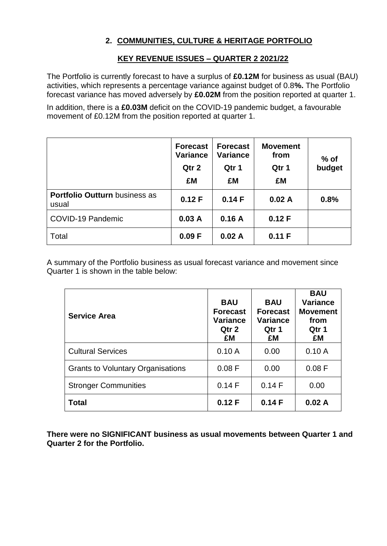# **2. COMMUNITIES, CULTURE & HERITAGE PORTFOLIO**

# **KEY REVENUE ISSUES – QUARTER 2 2021/22**

The Portfolio is currently forecast to have a surplus of **£0.12M** for business as usual (BAU) activities, which represents a percentage variance against budget of 0.8**%.** The Portfolio forecast variance has moved adversely by **£0.02M** from the position reported at quarter 1.

In addition, there is a **£0.03M** deficit on the COVID-19 pandemic budget, a favourable movement of £0.12M from the position reported at quarter 1.

|                                               | <b>Forecast</b><br><b>Variance</b><br>Qtr 2<br>£M | <b>Forecast</b><br><b>Variance</b><br>Qtr 1<br>£M | <b>Movement</b><br>from<br>Qtr 1<br>£M | $%$ of<br>budget |
|-----------------------------------------------|---------------------------------------------------|---------------------------------------------------|----------------------------------------|------------------|
| <b>Portfolio Outturn business as</b><br>usual | 0.12 F                                            | 0.14F                                             | 0.02A                                  | 0.8%             |
| COVID-19 Pandemic                             | 0.03A                                             | 0.16A                                             | 0.12F                                  |                  |
| Total                                         | 0.09 F                                            | 0.02A                                             | 0.11 F                                 |                  |

A summary of the Portfolio business as usual forecast variance and movement since Quarter 1 is shown in the table below:

| <b>Service Area</b>                      | <b>BAU</b><br><b>Forecast</b><br><b>Variance</b><br>Qtr 2<br>£M | <b>BAU</b><br><b>Forecast</b><br><b>Variance</b><br>Qtr 1<br>£M | <b>BAU</b><br><b>Variance</b><br><b>Movement</b><br>from<br>Qtr 1<br>£M |
|------------------------------------------|-----------------------------------------------------------------|-----------------------------------------------------------------|-------------------------------------------------------------------------|
| <b>Cultural Services</b>                 | 0.10A                                                           | 0.00                                                            | 0.10A                                                                   |
| <b>Grants to Voluntary Organisations</b> | 0.08 F                                                          | 0.00                                                            | 0.08 F                                                                  |
| <b>Stronger Communities</b>              | 0.14F                                                           | 0.14F                                                           | 0.00                                                                    |
| <b>Total</b>                             | 0.12 F                                                          | 0.14F                                                           | 0.02A                                                                   |

**There were no SIGNIFICANT business as usual movements between Quarter 1 and Quarter 2 for the Portfolio.**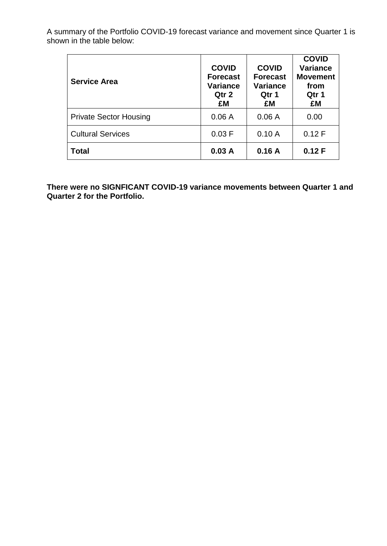| <b>Service Area</b>           | <b>COVID</b><br><b>Forecast</b><br>Variance<br>Qtr 2<br>£M | <b>COVID</b><br><b>Forecast</b><br><b>Variance</b><br>Qtr 1<br>£M | <b>COVID</b><br><b>Variance</b><br><b>Movement</b><br>from<br>Qtr 1<br>£M |
|-------------------------------|------------------------------------------------------------|-------------------------------------------------------------------|---------------------------------------------------------------------------|
| <b>Private Sector Housing</b> | 0.06A                                                      | 0.06A                                                             | 0.00                                                                      |
| <b>Cultural Services</b>      | 0.03 F                                                     | 0.10A                                                             | 0.12 F                                                                    |
| <b>Total</b>                  | 0.03A                                                      | 0.16A                                                             | 0.12 F                                                                    |

**There were no SIGNFICANT COVID-19 variance movements between Quarter 1 and Quarter 2 for the Portfolio.**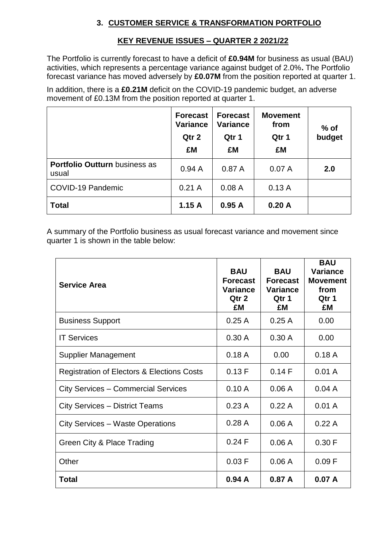## **3. CUSTOMER SERVICE & TRANSFORMATION PORTFOLIO**

# **KEY REVENUE ISSUES – QUARTER 2 2021/22**

The Portfolio is currently forecast to have a deficit of **£0.94M** for business as usual (BAU) activities, which represents a percentage variance against budget of 2.0%**.** The Portfolio forecast variance has moved adversely by **£0.07M** from the position reported at quarter 1.

In addition, there is a **£0.21M** deficit on the COVID-19 pandemic budget, an adverse movement of £0.13M from the position reported at quarter 1.

|                                               | <b>Forecast</b><br><b>Variance</b><br>Qtr 2<br>£M | <b>Forecast</b><br><b>Variance</b><br>Qtr 1<br>£M | <b>Movement</b><br>from<br>Qtr 1<br>£M | $%$ of<br>budget |
|-----------------------------------------------|---------------------------------------------------|---------------------------------------------------|----------------------------------------|------------------|
| <b>Portfolio Outturn business as</b><br>usual | 0.94A                                             | 0.87A                                             | 0.07A                                  | 2.0              |
| COVID-19 Pandemic                             | 0.21A                                             | 0.08A                                             | 0.13A                                  |                  |
| <b>Total</b>                                  | 1.15A                                             | 0.95A                                             | 0.20A                                  |                  |

A summary of the Portfolio business as usual forecast variance and movement since quarter 1 is shown in the table below:

| <b>Service Area</b>                                   | <b>BAU</b><br><b>Forecast</b><br><b>Variance</b><br>Qtr 2<br>£M | <b>BAU</b><br><b>Forecast</b><br><b>Variance</b><br>Qtr 1<br>£M | <b>BAU</b><br><b>Variance</b><br><b>Movement</b><br>from<br>Qtr 1<br>£M |
|-------------------------------------------------------|-----------------------------------------------------------------|-----------------------------------------------------------------|-------------------------------------------------------------------------|
| <b>Business Support</b>                               | 0.25A                                                           | 0.25A                                                           | 0.00                                                                    |
| <b>IT Services</b>                                    | 0.30A                                                           | 0.30A                                                           | 0.00                                                                    |
| <b>Supplier Management</b>                            | 0.18A                                                           | 0.00                                                            | 0.18A                                                                   |
| <b>Registration of Electors &amp; Elections Costs</b> | 0.13 F                                                          | 0.14F                                                           | 0.01 A                                                                  |
| <b>City Services – Commercial Services</b>            | 0.10A                                                           | 0.06A                                                           | 0.04A                                                                   |
| <b>City Services - District Teams</b>                 | 0.23A                                                           | 0.22A                                                           | 0.01A                                                                   |
| <b>City Services - Waste Operations</b>               | 0.28A                                                           | 0.06A                                                           | 0.22A                                                                   |
| Green City & Place Trading                            | 0.24 F                                                          | 0.06A                                                           | 0.30 F                                                                  |
| Other                                                 | 0.03 F                                                          | 0.06A                                                           | 0.09 F                                                                  |
| <b>Total</b>                                          | 0.94A                                                           | 0.87A                                                           | 0.07A                                                                   |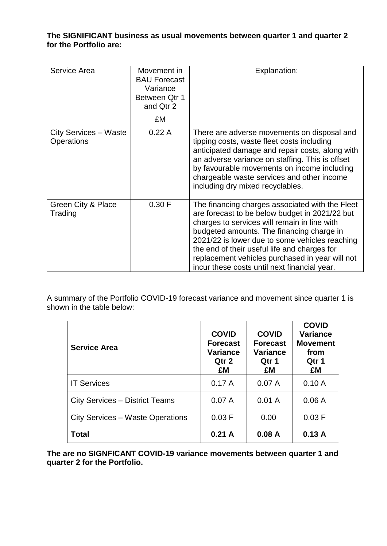### **The SIGNIFICANT business as usual movements between quarter 1 and quarter 2 for the Portfolio are:**

| Service Area                               | Movement in<br><b>BAU Forecast</b><br>Variance<br>Between Qtr 1<br>and Qtr 2<br>£M | Explanation:                                                                                                                                                                                                                                                                                                                                                                                        |
|--------------------------------------------|------------------------------------------------------------------------------------|-----------------------------------------------------------------------------------------------------------------------------------------------------------------------------------------------------------------------------------------------------------------------------------------------------------------------------------------------------------------------------------------------------|
| City Services - Waste<br><b>Operations</b> | 0.22A                                                                              | There are adverse movements on disposal and<br>tipping costs, waste fleet costs including<br>anticipated damage and repair costs, along with<br>an adverse variance on staffing. This is offset<br>by favourable movements on income including<br>chargeable waste services and other income<br>including dry mixed recyclables.                                                                    |
| Green City & Place<br>Trading              | 0.30 F                                                                             | The financing charges associated with the Fleet<br>are forecast to be below budget in 2021/22 but<br>charges to services will remain in line with<br>budgeted amounts. The financing charge in<br>2021/22 is lower due to some vehicles reaching<br>the end of their useful life and charges for<br>replacement vehicles purchased in year will not<br>incur these costs until next financial year. |

A summary of the Portfolio COVID-19 forecast variance and movement since quarter 1 is shown in the table below:

| <b>Service Area</b>                   | <b>COVID</b><br><b>Forecast</b><br>Variance<br>Qtr 2<br>£M | <b>COVID</b><br><b>Forecast</b><br><b>Variance</b><br>Qtr 1<br>£M | <b>COVID</b><br><b>Variance</b><br><b>Movement</b><br>from<br>Qtr 1<br>£M |
|---------------------------------------|------------------------------------------------------------|-------------------------------------------------------------------|---------------------------------------------------------------------------|
| <b>IT Services</b>                    | 0.17A                                                      | 0.07A                                                             | 0.10A                                                                     |
| <b>City Services – District Teams</b> | 0.07A                                                      | 0.01A                                                             | 0.06A                                                                     |
| City Services – Waste Operations      | 0.03 F                                                     | 0.00                                                              | 0.03 F                                                                    |
| Total                                 | 0.21A                                                      | 0.08A                                                             | 0.13A                                                                     |

**The are no SIGNFICANT COVID-19 variance movements between quarter 1 and quarter 2 for the Portfolio.**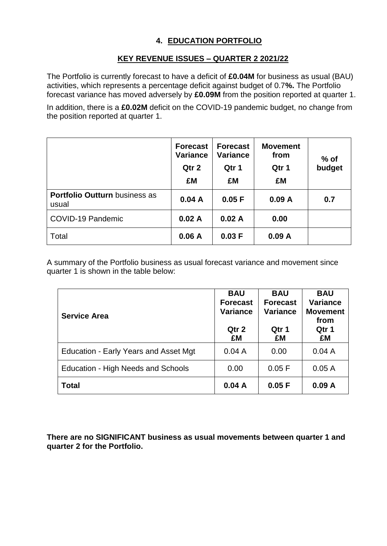# **4. EDUCATION PORTFOLIO**

# **KEY REVENUE ISSUES – QUARTER 2 2021/22**

The Portfolio is currently forecast to have a deficit of **£0.04M** for business as usual (BAU) activities, which represents a percentage deficit against budget of 0.7**%.** The Portfolio forecast variance has moved adversely by **£0.09M** from the position reported at quarter 1.

In addition, there is a **£0.02M** deficit on the COVID-19 pandemic budget, no change from the position reported at quarter 1.

|                                               | <b>Forecast</b><br><b>Variance</b><br>Qtr 2<br>£M | <b>Forecast</b><br><b>Variance</b><br>Qtr 1<br>£M | <b>Movement</b><br>from<br>Qtr 1<br>£M | $%$ of<br>budget |
|-----------------------------------------------|---------------------------------------------------|---------------------------------------------------|----------------------------------------|------------------|
| <b>Portfolio Outturn business as</b><br>usual | 0.04A                                             | 0.05 F                                            | 0.09A                                  | 0.7              |
| COVID-19 Pandemic                             | 0.02A                                             | 0.02A                                             | 0.00                                   |                  |
| Total                                         | 0.06A                                             | 0.03 F                                            | 0.09A                                  |                  |

A summary of the Portfolio business as usual forecast variance and movement since quarter 1 is shown in the table below:

| <b>Service Area</b>                          | <b>BAU</b><br><b>Forecast</b><br><b>Variance</b><br>Qtr 2<br>£M | <b>BAU</b><br><b>Forecast</b><br><b>Variance</b><br>Qtr 1<br>£M | <b>BAU</b><br><b>Variance</b><br><b>Movement</b><br>from<br>Qtr 1<br>£M |
|----------------------------------------------|-----------------------------------------------------------------|-----------------------------------------------------------------|-------------------------------------------------------------------------|
| <b>Education - Early Years and Asset Mgt</b> | 0.04A                                                           | 0.00                                                            | 0.04A                                                                   |
| Education - High Needs and Schools           | 0.00                                                            | 0.05 F                                                          | 0.05A                                                                   |
| <b>Total</b>                                 | 0.04A                                                           | 0.05 F                                                          | 0.09A                                                                   |

**There are no SIGNIFICANT business as usual movements between quarter 1 and quarter 2 for the Portfolio.**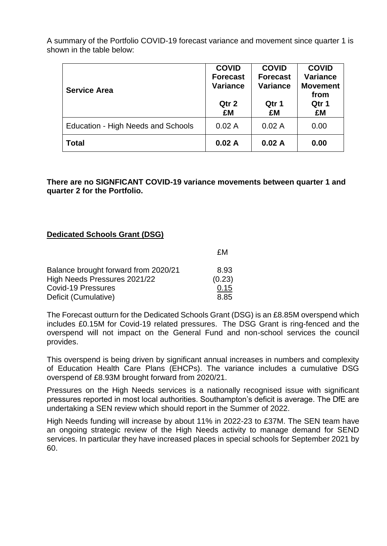| <b>Service Area</b>                | <b>COVID</b><br><b>Forecast</b><br><b>Variance</b><br>Qtr 2<br>£M | <b>COVID</b><br><b>Forecast</b><br><b>Variance</b><br>Qtr 1<br>£M | <b>COVID</b><br><b>Variance</b><br><b>Movement</b><br>from<br>Qtr 1<br>£M |
|------------------------------------|-------------------------------------------------------------------|-------------------------------------------------------------------|---------------------------------------------------------------------------|
| Education - High Needs and Schools | 0.02A                                                             | 0.02A                                                             | 0.00                                                                      |
| Total                              | 0.02A                                                             | 0.02A                                                             | 0.00                                                                      |

**There are no SIGNFICANT COVID-19 variance movements between quarter 1 and quarter 2 for the Portfolio.**

### **Dedicated Schools Grant (DSG)**

|                                      | £М     |
|--------------------------------------|--------|
| Balance brought forward from 2020/21 | 8.93   |
| High Needs Pressures 2021/22         | (0.23) |
| Covid-19 Pressures                   | 0.15   |
| Deficit (Cumulative)                 | 8.85   |

The Forecast outturn for the Dedicated Schools Grant (DSG) is an £8.85M overspend which includes £0.15M for Covid-19 related pressures. The DSG Grant is ring-fenced and the overspend will not impact on the General Fund and non-school services the council provides.

This overspend is being driven by significant annual increases in numbers and complexity of Education Health Care Plans (EHCPs). The variance includes a cumulative DSG overspend of £8.93M brought forward from 2020/21.

Pressures on the High Needs services is a nationally recognised issue with significant pressures reported in most local authorities. Southampton's deficit is average. The DfE are undertaking a SEN review which should report in the Summer of 2022.

High Needs funding will increase by about 11% in 2022-23 to £37M. The SEN team have an ongoing strategic review of the High Needs activity to manage demand for SEND services. In particular they have increased places in special schools for September 2021 by 60.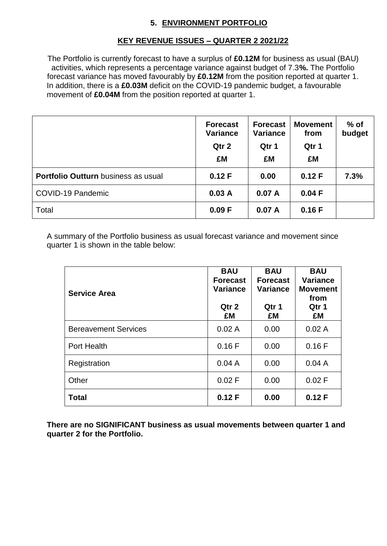# **5. ENVIRONMENT PORTFOLIO**

# **KEY REVENUE ISSUES – QUARTER 2 2021/22**

The Portfolio is currently forecast to have a surplus of **£0.12M** for business as usual (BAU) activities, which represents a percentage variance against budget of 7.3**%.** The Portfolio forecast variance has moved favourably by **£0.12M** from the position reported at quarter 1. In addition, there is a **£0.03M** deficit on the COVID-19 pandemic budget, a favourable movement of **£0.04M** from the position reported at quarter 1.

|                                            | <b>Forecast</b><br><b>Variance</b><br>Qtr 2<br>£M | <b>Forecast</b><br><b>Variance</b><br>Qtr 1<br>£M | <b>Movement</b><br>from<br>Qtr 1<br>£M | $%$ of<br>budget |
|--------------------------------------------|---------------------------------------------------|---------------------------------------------------|----------------------------------------|------------------|
| <b>Portfolio Outturn</b> business as usual | 0.12 F                                            | 0.00                                              | 0.12 F                                 | 7.3%             |
| COVID-19 Pandemic                          | 0.03A                                             | 0.07A                                             | 0.04 F                                 |                  |
| Total                                      | 0.09 F                                            | 0.07A                                             | 0.16F                                  |                  |

A summary of the Portfolio business as usual forecast variance and movement since quarter 1 is shown in the table below:

| <b>Service Area</b>         | <b>BAU</b><br><b>Forecast</b><br><b>Variance</b><br>Qtr 2<br>£M | <b>BAU</b><br><b>Forecast</b><br><b>Variance</b><br>Qtr 1<br>£M | <b>BAU</b><br>Variance<br><b>Movement</b><br>from<br>Qtr 1<br>£M |
|-----------------------------|-----------------------------------------------------------------|-----------------------------------------------------------------|------------------------------------------------------------------|
| <b>Bereavement Services</b> | 0.02A                                                           | 0.00                                                            | 0.02A                                                            |
| <b>Port Health</b>          | 0.16F                                                           | 0.00                                                            | 0.16F                                                            |
| Registration                | 0.04A                                                           | 0.00                                                            | 0.04A                                                            |
| Other                       | 0.02 F                                                          | 0.00                                                            | 0.02 F                                                           |
| <b>Total</b>                | 0.12 F                                                          | 0.00                                                            | 0.12 F                                                           |

**There are no SIGNIFICANT business as usual movements between quarter 1 and quarter 2 for the Portfolio.**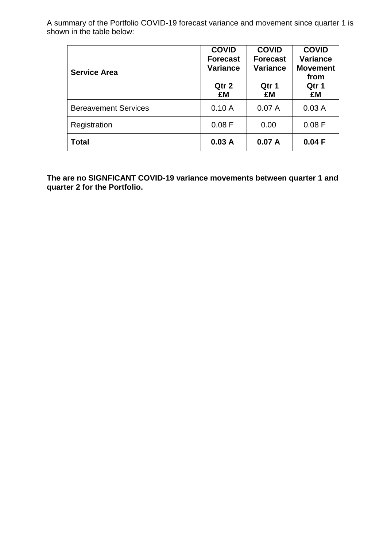| <b>Service Area</b>         | <b>COVID</b><br><b>Forecast</b><br><b>Variance</b><br>Qtr 2<br>£M | <b>COVID</b><br><b>Forecast</b><br><b>Variance</b><br>Qtr 1<br>£M | <b>COVID</b><br><b>Variance</b><br><b>Movement</b><br>from<br>Qtr 1<br>£M |
|-----------------------------|-------------------------------------------------------------------|-------------------------------------------------------------------|---------------------------------------------------------------------------|
| <b>Bereavement Services</b> | 0.10A                                                             | 0.07A                                                             | 0.03A                                                                     |
| Registration                | 0.08 F                                                            | 0.00                                                              | 0.08 F                                                                    |
| <b>Total</b>                | 0.03A                                                             | 0.07A                                                             | 0.04 F                                                                    |

**The are no SIGNFICANT COVID-19 variance movements between quarter 1 and quarter 2 for the Portfolio.**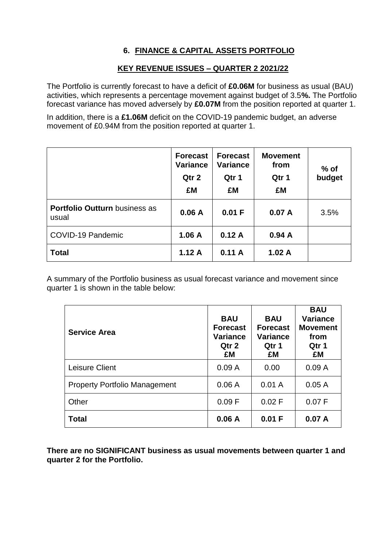# **6. FINANCE & CAPITAL ASSETS PORTFOLIO**

## **KEY REVENUE ISSUES – QUARTER 2 2021/22**

The Portfolio is currently forecast to have a deficit of **£0.06M** for business as usual (BAU) activities, which represents a percentage movement against budget of 3.5**%.** The Portfolio forecast variance has moved adversely by **£0.07M** from the position reported at quarter 1.

In addition, there is a **£1.06M** deficit on the COVID-19 pandemic budget, an adverse movement of £0.94M from the position reported at quarter 1.

|                                               | <b>Forecast</b><br><b>Variance</b><br>Qtr 2<br>£M | <b>Forecast</b><br><b>Variance</b><br>Qtr 1<br>£M | <b>Movement</b><br>from<br>Qtr 1<br>£M | $%$ of<br>budget |
|-----------------------------------------------|---------------------------------------------------|---------------------------------------------------|----------------------------------------|------------------|
| <b>Portfolio Outturn business as</b><br>usual | 0.06A                                             | 0.01 F                                            | 0.07A                                  | 3.5%             |
| COVID-19 Pandemic                             | 1.06A                                             | 0.12A                                             | 0.94A                                  |                  |
| <b>Total</b>                                  | 1.12A                                             | 0.11A                                             | 1.02A                                  |                  |

A summary of the Portfolio business as usual forecast variance and movement since quarter 1 is shown in the table below:

| <b>Service Area</b>                  | <b>BAU</b><br><b>Forecast</b><br><b>Variance</b><br>Qtr 2<br>£M | <b>BAU</b><br><b>Forecast</b><br>Variance<br>Qtr 1<br>£M | <b>BAU</b><br><b>Variance</b><br><b>Movement</b><br>from<br>Qtr 1<br>£M |
|--------------------------------------|-----------------------------------------------------------------|----------------------------------------------------------|-------------------------------------------------------------------------|
| Leisure Client                       | 0.09A                                                           | 0.00                                                     | 0.09A                                                                   |
| <b>Property Portfolio Management</b> | 0.06A                                                           | 0.01A                                                    | 0.05A                                                                   |
| Other                                | 0.09 F                                                          | 0.02 F                                                   | 0.07 F                                                                  |
| <b>Total</b>                         | 0.06A                                                           | 0.01 F                                                   | 0.07A                                                                   |

**There are no SIGNIFICANT business as usual movements between quarter 1 and quarter 2 for the Portfolio.**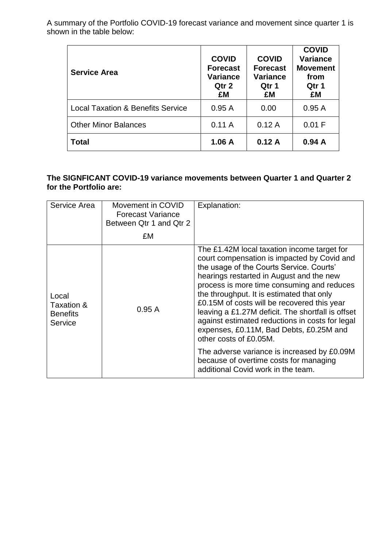| <b>Service Area</b>                          | <b>COVID</b><br><b>Forecast</b><br><b>Variance</b><br>Qtr 2<br>£M | <b>COVID</b><br><b>Forecast</b><br><b>Variance</b><br>Qtr 1<br>£M | <b>COVID</b><br><b>Variance</b><br><b>Movement</b><br>from<br>Qtr 1<br>£M |
|----------------------------------------------|-------------------------------------------------------------------|-------------------------------------------------------------------|---------------------------------------------------------------------------|
| <b>Local Taxation &amp; Benefits Service</b> | 0.95A                                                             | 0.00                                                              | 0.95A                                                                     |
| <b>Other Minor Balances</b>                  | 0.11A                                                             | 0.12A                                                             | 0.01 F                                                                    |
| <b>Total</b>                                 | 1.06A                                                             | 0.12A                                                             | 0.94A                                                                     |

### **The SIGNFICANT COVID-19 variance movements between Quarter 1 and Quarter 2 for the Portfolio are:**

| Service Area                                      | Movement in COVID<br><b>Forecast Variance</b><br>Between Qtr 1 and Qtr 2 | Explanation:                                                                                                                                                                                                                                                                                                                                                                                                                                                                                                                                                                                                                             |
|---------------------------------------------------|--------------------------------------------------------------------------|------------------------------------------------------------------------------------------------------------------------------------------------------------------------------------------------------------------------------------------------------------------------------------------------------------------------------------------------------------------------------------------------------------------------------------------------------------------------------------------------------------------------------------------------------------------------------------------------------------------------------------------|
|                                                   | £M                                                                       |                                                                                                                                                                                                                                                                                                                                                                                                                                                                                                                                                                                                                                          |
| Local<br>Taxation &<br><b>Benefits</b><br>Service | 0.95A                                                                    | The £1.42M local taxation income target for<br>court compensation is impacted by Covid and<br>the usage of the Courts Service. Courts'<br>hearings restarted in August and the new<br>process is more time consuming and reduces<br>the throughput. It is estimated that only<br>£0.15M of costs will be recovered this year<br>leaving a £1.27M deficit. The shortfall is offset<br>against estimated reductions in costs for legal<br>expenses, £0.11M, Bad Debts, £0.25M and<br>other costs of £0.05M.<br>The adverse variance is increased by £0.09M<br>because of overtime costs for managing<br>additional Covid work in the team. |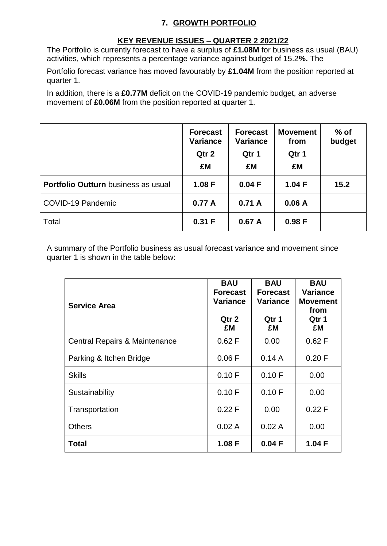### **7. GROWTH PORTFOLIO**

## **KEY REVENUE ISSUES – QUARTER 2 2021/22**

The Portfolio is currently forecast to have a surplus of **£1.08M** for business as usual (BAU) activities, which represents a percentage variance against budget of 15.2**%.** The

Portfolio forecast variance has moved favourably by **£1.04M** from the position reported at quarter 1.

In addition, there is a **£0.77M** deficit on the COVID-19 pandemic budget, an adverse movement of **£0.06M** from the position reported at quarter 1.

|                                            | <b>Forecast</b><br><b>Variance</b><br>Qtr 2<br>£M | <b>Forecast</b><br><b>Variance</b><br>Qtr 1<br>£M | <b>Movement</b><br>from<br>Qtr 1<br>£M | $%$ of<br>budget |
|--------------------------------------------|---------------------------------------------------|---------------------------------------------------|----------------------------------------|------------------|
| <b>Portfolio Outturn</b> business as usual | 1.08 F                                            | 0.04 F                                            | 1.04 F                                 | 15.2             |
| COVID-19 Pandemic                          | 0.77A                                             | 0.71A                                             | 0.06A                                  |                  |
| Total                                      | 0.31 F                                            | 0.67A                                             | 0.98F                                  |                  |

A summary of the Portfolio business as usual forecast variance and movement since quarter 1 is shown in the table below:

| <b>Service Area</b>           | <b>BAU</b><br><b>Forecast</b><br>Variance<br>Qtr 2<br>£M | <b>BAU</b><br><b>Forecast</b><br><b>Variance</b><br>Qtr 1<br>£M | <b>BAU</b><br><b>Variance</b><br><b>Movement</b><br>from<br>Qtr 1<br>£M |
|-------------------------------|----------------------------------------------------------|-----------------------------------------------------------------|-------------------------------------------------------------------------|
| Central Repairs & Maintenance | 0.62 F                                                   | 0.00                                                            | 0.62 F                                                                  |
| Parking & Itchen Bridge       | 0.06 F                                                   | 0.14A                                                           | 0.20 F                                                                  |
| <b>Skills</b>                 | 0.10 F                                                   | 0.10 F                                                          | 0.00                                                                    |
| Sustainability                | 0.10 F                                                   | 0.10 F                                                          | 0.00                                                                    |
| Transportation                | 0.22 F                                                   | 0.00                                                            | 0.22 F                                                                  |
| <b>Others</b>                 | 0.02A                                                    | 0.02A                                                           | 0.00                                                                    |
| Total                         | 1.08 F                                                   | 0.04 F                                                          | 1.04 F                                                                  |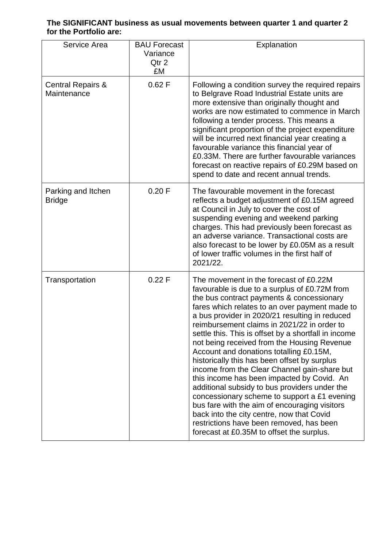### **The SIGNIFICANT business as usual movements between quarter 1 and quarter 2 for the Portfolio are:**

| Service Area                                | <b>BAU Forecast</b><br>Variance<br>Qtr 2<br>£M | Explanation                                                                                                                                                                                                                                                                                                                                                                                                                                                                                                                                                                                                                                                                                                                                                                                                                                                                     |
|---------------------------------------------|------------------------------------------------|---------------------------------------------------------------------------------------------------------------------------------------------------------------------------------------------------------------------------------------------------------------------------------------------------------------------------------------------------------------------------------------------------------------------------------------------------------------------------------------------------------------------------------------------------------------------------------------------------------------------------------------------------------------------------------------------------------------------------------------------------------------------------------------------------------------------------------------------------------------------------------|
| <b>Central Repairs &amp;</b><br>Maintenance | 0.62 F                                         | Following a condition survey the required repairs<br>to Belgrave Road Industrial Estate units are<br>more extensive than originally thought and<br>works are now estimated to commence in March<br>following a tender process. This means a<br>significant proportion of the project expenditure<br>will be incurred next financial year creating a<br>favourable variance this financial year of<br>£0.33M. There are further favourable variances<br>forecast on reactive repairs of £0.29M based on<br>spend to date and recent annual trends.                                                                                                                                                                                                                                                                                                                               |
| Parking and Itchen<br><b>Bridge</b>         | 0.20 F                                         | The favourable movement in the forecast<br>reflects a budget adjustment of £0.15M agreed<br>at Council in July to cover the cost of<br>suspending evening and weekend parking<br>charges. This had previously been forecast as<br>an adverse variance. Transactional costs are<br>also forecast to be lower by £0.05M as a result<br>of lower traffic volumes in the first half of<br>2021/22.                                                                                                                                                                                                                                                                                                                                                                                                                                                                                  |
| Transportation                              | 0.22 F                                         | The movement in the forecast of £0.22M<br>favourable is due to a surplus of £0.72M from<br>the bus contract payments & concessionary<br>fares which relates to an over payment made to<br>a bus provider in 2020/21 resulting in reduced<br>reimbursement claims in 2021/22 in order to<br>settle this. This is offset by a shortfall in income<br>not being received from the Housing Revenue<br>Account and donations totalling £0.15M,<br>historically this has been offset by surplus<br>income from the Clear Channel gain-share but<br>this income has been impacted by Covid. An<br>additional subsidy to bus providers under the<br>concessionary scheme to support a £1 evening<br>bus fare with the aim of encouraging visitors<br>back into the city centre, now that Covid<br>restrictions have been removed, has been<br>forecast at £0.35M to offset the surplus. |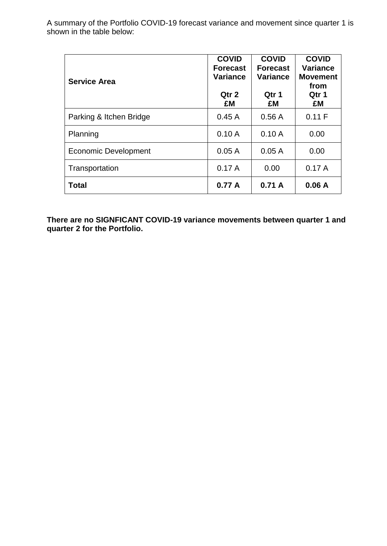| <b>Service Area</b>     | <b>COVID</b><br><b>Forecast</b><br><b>Variance</b><br>Qtr 2<br>£M | <b>COVID</b><br><b>Forecast</b><br><b>Variance</b><br>Qtr 1<br>£M | <b>COVID</b><br><b>Variance</b><br><b>Movement</b><br>from<br>Qtr 1<br>£M |
|-------------------------|-------------------------------------------------------------------|-------------------------------------------------------------------|---------------------------------------------------------------------------|
| Parking & Itchen Bridge | 0.45A                                                             | 0.56A                                                             | 0.11 F                                                                    |
| Planning                | 0.10A                                                             | 0.10A                                                             | 0.00                                                                      |
| Economic Development    | 0.05A                                                             | 0.05A                                                             | 0.00                                                                      |
| Transportation          | 0.17A                                                             | 0.00                                                              | 0.17A                                                                     |
| <b>Total</b>            | 0.77A                                                             | 0.71A                                                             | 0.06A                                                                     |

**There are no SIGNFICANT COVID-19 variance movements between quarter 1 and quarter 2 for the Portfolio.**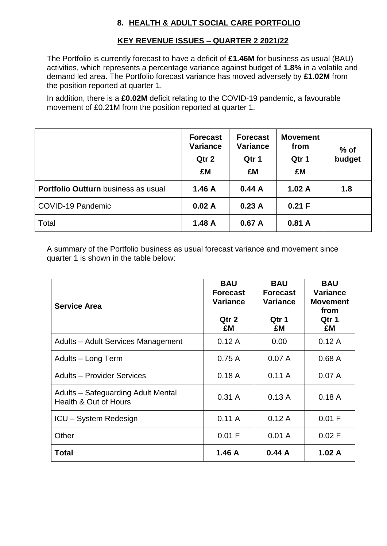# **8. HEALTH & ADULT SOCIAL CARE PORTFOLIO**

## **KEY REVENUE ISSUES – QUARTER 2 2021/22**

The Portfolio is currently forecast to have a deficit of **£1.46M** for business as usual (BAU) activities, which represents a percentage variance against budget of **1.8%** in a volatile and demand led area. The Portfolio forecast variance has moved adversely by **£1.02M** from the position reported at quarter 1.

In addition, there is a **£0.02M** deficit relating to the COVID-19 pandemic, a favourable movement of £0.21M from the position reported at quarter 1.

|                                            | <b>Forecast</b><br><b>Variance</b><br>Qtr 2<br>£M | <b>Forecast</b><br>Variance<br>Qtr 1<br>£M | <b>Movement</b><br>from<br>Qtr 1<br>£M | $%$ of<br>budget |
|--------------------------------------------|---------------------------------------------------|--------------------------------------------|----------------------------------------|------------------|
| <b>Portfolio Outturn</b> business as usual | 1.46 A                                            | 0.44A                                      | 1.02A                                  | 1.8              |
| COVID-19 Pandemic                          | 0.02A                                             | 0.23A                                      | 0.21 F                                 |                  |
| Total                                      | 1.48A                                             | 0.67A                                      | 0.81A                                  |                  |

A summary of the Portfolio business as usual forecast variance and movement since quarter 1 is shown in the table below:

| <b>Service Area</b>                                         | <b>BAU</b><br><b>Forecast</b><br><b>Variance</b><br>Qtr 2<br>£M | <b>BAU</b><br><b>Forecast</b><br><b>Variance</b><br>Qtr 1<br>£M | <b>BAU</b><br><b>Variance</b><br><b>Movement</b><br>from<br>Qtr 1<br>£M |  |
|-------------------------------------------------------------|-----------------------------------------------------------------|-----------------------------------------------------------------|-------------------------------------------------------------------------|--|
| Adults - Adult Services Management                          | 0.12A                                                           | 0.00                                                            | 0.12A                                                                   |  |
| Adults - Long Term                                          | 0.75A                                                           | 0.07A                                                           | 0.68A                                                                   |  |
| <b>Adults - Provider Services</b>                           | 0.18A                                                           | 0.11A                                                           | 0.07A                                                                   |  |
| Adults – Safeguarding Adult Mental<br>Health & Out of Hours | 0.31A                                                           | 0.13A                                                           | 0.18A                                                                   |  |
| <b>ICU</b> - System Redesign                                | 0.11A                                                           | 0.12A                                                           | 0.01 F                                                                  |  |
| Other                                                       | 0.01 F                                                          | 0.01 A                                                          | 0.02 F                                                                  |  |
| <b>Total</b>                                                | 1.46A                                                           | 0.44A                                                           | 1.02A                                                                   |  |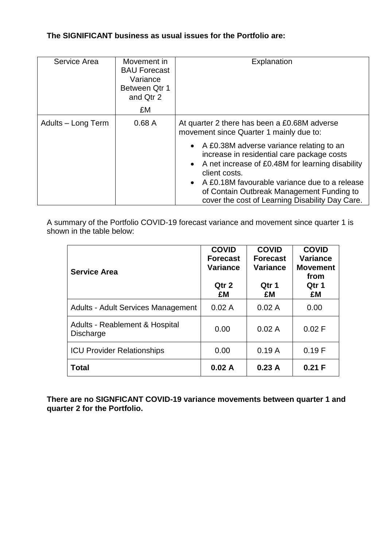### **The SIGNIFICANT business as usual issues for the Portfolio are:**

| Service Area       | Movement in<br><b>BAU Forecast</b><br>Variance<br>Between Qtr 1<br>and Qtr 2<br>£M | Explanation                                                                                                                                                                                                                                                                                                                   |
|--------------------|------------------------------------------------------------------------------------|-------------------------------------------------------------------------------------------------------------------------------------------------------------------------------------------------------------------------------------------------------------------------------------------------------------------------------|
| Adults - Long Term | 0.68A                                                                              | At quarter 2 there has been a £0.68M adverse<br>movement since Quarter 1 mainly due to:                                                                                                                                                                                                                                       |
|                    |                                                                                    | • A £0.38M adverse variance relating to an<br>increase in residential care package costs<br>• A net increase of £0.48M for learning disability<br>client costs.<br>A £0.18M favourable variance due to a release<br>$\bullet$<br>of Contain Outbreak Management Funding to<br>cover the cost of Learning Disability Day Care. |

A summary of the Portfolio COVID-19 forecast variance and movement since quarter 1 is shown in the table below:

| <b>Service Area</b>                                           | <b>COVID</b><br><b>Forecast</b><br><b>Variance</b><br>Qtr 2<br>£M | <b>COVID</b><br><b>Forecast</b><br><b>Variance</b><br>Qtr 1<br>£M | <b>COVID</b><br><b>Variance</b><br><b>Movement</b><br>from<br>Qtr 1<br>£M |
|---------------------------------------------------------------|-------------------------------------------------------------------|-------------------------------------------------------------------|---------------------------------------------------------------------------|
| <b>Adults - Adult Services Management</b>                     | 0.02A                                                             | 0.02A                                                             | 0.00                                                                      |
| <b>Adults - Reablement &amp; Hospital</b><br><b>Discharge</b> | 0.00                                                              | 0.02A                                                             | 0.02 F                                                                    |
| <b>ICU Provider Relationships</b>                             | 0.00                                                              | 0.19A                                                             | 0.19F                                                                     |
| <b>Total</b>                                                  | 0.02A                                                             | 0.23A                                                             | 0.21 F                                                                    |

**There are no SIGNFICANT COVID-19 variance movements between quarter 1 and quarter 2 for the Portfolio.**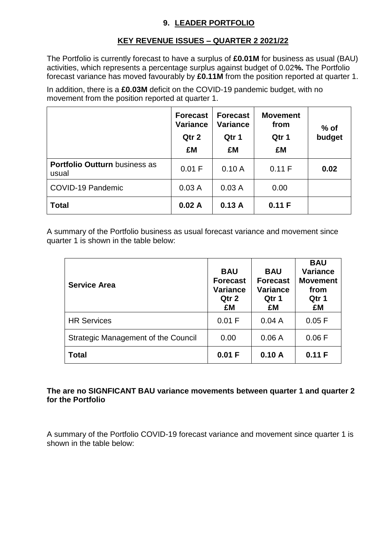## **9. LEADER PORTFOLIO**

# **KEY REVENUE ISSUES – QUARTER 2 2021/22**

The Portfolio is currently forecast to have a surplus of **£0.01M** for business as usual (BAU) activities, which represents a percentage surplus against budget of 0.02**%.** The Portfolio forecast variance has moved favourably by **£0.11M** from the position reported at quarter 1.

In addition, there is a **£0.03M** deficit on the COVID-19 pandemic budget, with no movement from the position reported at quarter 1.

|                                               | <b>Forecast</b><br><b>Variance</b><br>Qtr 2<br>£M | <b>Forecast</b><br><b>Variance</b><br>Qtr 1<br>£M | <b>Movement</b><br>from<br>Qtr 1<br>£M | $%$ of<br>budget |
|-----------------------------------------------|---------------------------------------------------|---------------------------------------------------|----------------------------------------|------------------|
| <b>Portfolio Outturn business as</b><br>usual | 0.01 F                                            | 0.10A                                             | 0.11 F                                 | 0.02             |
| COVID-19 Pandemic                             | 0.03A                                             | 0.03A                                             | 0.00                                   |                  |
| <b>Total</b>                                  | 0.02A                                             | 0.13A                                             | 0.11 F                                 |                  |

A summary of the Portfolio business as usual forecast variance and movement since quarter 1 is shown in the table below:

| <b>Service Area</b>                        | <b>BAU</b><br><b>Forecast</b><br><b>Variance</b><br>Qtr 2<br>£M | <b>BAU</b><br><b>Forecast</b><br><b>Variance</b><br>Qtr 1<br>£M | <b>BAU</b><br><b>Variance</b><br><b>Movement</b><br>from<br>Qtr 1<br>£M |
|--------------------------------------------|-----------------------------------------------------------------|-----------------------------------------------------------------|-------------------------------------------------------------------------|
| <b>HR Services</b>                         | 0.01 F                                                          | 0.04A                                                           | 0.05 F                                                                  |
| <b>Strategic Management of the Council</b> | 0.00                                                            | 0.06A                                                           | 0.06 F                                                                  |
| <b>Total</b>                               | 0.01 F                                                          | 0.10A                                                           | 0.11 F                                                                  |

### **The are no SIGNFICANT BAU variance movements between quarter 1 and quarter 2 for the Portfolio**

A summary of the Portfolio COVID-19 forecast variance and movement since quarter 1 is shown in the table below: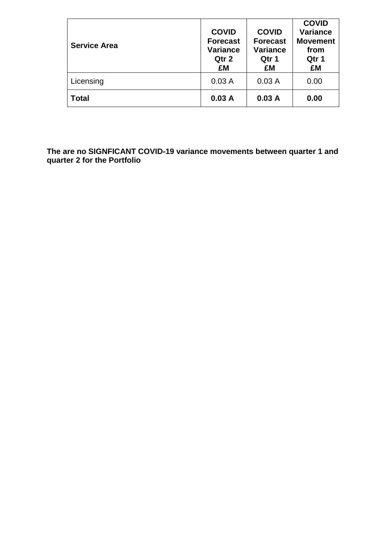| <b>Service Area</b> | <b>COVID</b><br><b>Forecast</b><br><b>Variance</b><br>Qtr 2<br>£M | <b>COVID</b><br><b>Forecast</b><br><b>Variance</b><br>Qtr 1<br>£M | <b>COVID</b><br><b>Variance</b><br><b>Movement</b><br>from<br>Qtr 1<br>£M |
|---------------------|-------------------------------------------------------------------|-------------------------------------------------------------------|---------------------------------------------------------------------------|
| Licensing           | 0.03A                                                             | 0.03A                                                             | 0.00                                                                      |
| <b>Total</b>        | 0.03A                                                             | 0.03A                                                             | 0.00                                                                      |

**The are no SIGNFICANT COVID-19 variance movements between quarter 1 and quarter 2 for the Portfolio**